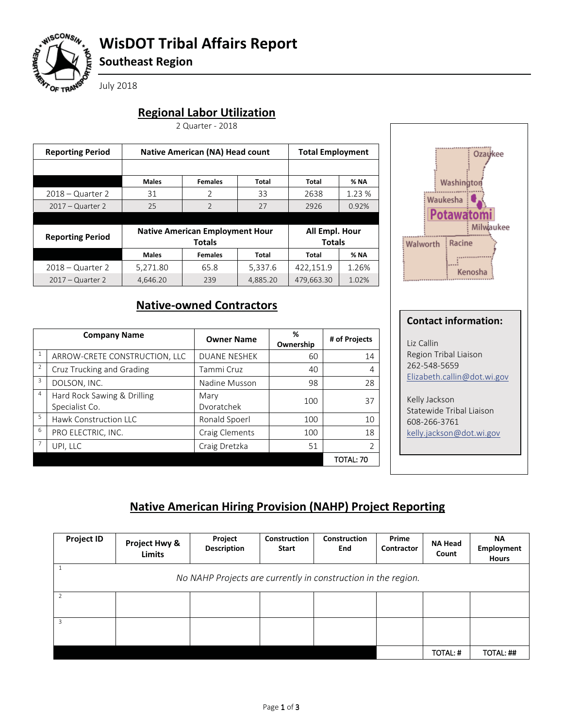

# **WisDOT Tribal Affairs Report**

**Southeast Region**

July 2018

## **Regional Labor Utilization**

2 Quarter - 2018

| <b>Reporting Period</b> | <b>Native American (NA) Head count</b> | <b>Total Employment</b>                |                |            |             |
|-------------------------|----------------------------------------|----------------------------------------|----------------|------------|-------------|
|                         |                                        |                                        |                |            |             |
|                         | <b>Males</b>                           | <b>Females</b>                         | Total          | Total      | % NA        |
| $2018 -$ Quarter 2      | 31                                     | 2                                      | 33             | 2638       | 1.23 %      |
| $2017 -$ Quarter 2      | 25                                     | $\overline{2}$                         | 27             | 2926       | 0.92%       |
|                         |                                        |                                        |                |            |             |
|                         |                                        | <b>Native American Employment Hour</b> | All Empl. Hour |            |             |
| <b>Reporting Period</b> |                                        | <b>Totals</b>                          |                |            |             |
|                         | <b>Males</b>                           | <b>Females</b>                         | Total          | Total      | <b>% NA</b> |
| $2018 -$ Quarter 2      | 5.271.80                               | 65.8                                   | 5.337.6        | 422,151.9  | 1.26%       |
| $2017 -$ Quarter 2      | 4.646.20                               | 239                                    | 4,885.20       | 479,663.30 | 1.02%       |

# **Native-owned Contractors**

|                | <b>Company Name</b>                           | <b>Owner Name</b>   | %<br>Ownership | # of Projects |
|----------------|-----------------------------------------------|---------------------|----------------|---------------|
| $\mathbf{1}$   | ARROW-CRETE CONSTRUCTION, LLC                 | <b>DUANE NESHEK</b> | 60             | 14            |
| $\overline{2}$ | Cruz Trucking and Grading                     | Tammi Cruz          | 40             | 4             |
| 3              | DOLSON, INC.                                  | Nadine Musson       | 98             | 28            |
| $\overline{4}$ | Hard Rock Sawing & Drilling<br>Specialist Co. | Mary<br>Dvoratchek  | 100            | 37            |
| $\overline{5}$ | <b>Hawk Construction LLC</b>                  | Ronald Spoerl       | 100            | 10            |
| 6              | PRO ELECTRIC, INC.                            | Craig Clements      | 100            | 18            |
| 7              | UPI, LLC                                      | Craig Dretzka       | 51             |               |
|                |                                               |                     |                | TOTAL: 70     |



## **Contact information:**

Liz Callin Region Tribal Liaison 262-548-5659 Elizabeth.callin@dot.wi.gov

Kelly Jackson Statewide Tribal Liaison 608-266-3761 kelly.jackson@dot.wi.gov

## **Native American Hiring Provision (NAHP) Project Reporting**

| <b>Project ID</b>                                             | Project<br>Project Hwy &<br><b>Description</b><br><b>Limits</b> |  | Construction<br><b>Start</b> | <b>Construction</b><br><b>End</b> | Prime<br>Contractor | <b>NA Head</b><br>Count | <b>NA</b><br><b>Employment</b><br><b>Hours</b> |  |  |
|---------------------------------------------------------------|-----------------------------------------------------------------|--|------------------------------|-----------------------------------|---------------------|-------------------------|------------------------------------------------|--|--|
| No NAHP Projects are currently in construction in the region. |                                                                 |  |                              |                                   |                     |                         |                                                |  |  |
|                                                               |                                                                 |  |                              |                                   |                     |                         |                                                |  |  |
|                                                               |                                                                 |  |                              |                                   |                     |                         |                                                |  |  |
|                                                               |                                                                 |  |                              |                                   |                     | TOTAL: #                | TOTAL: ##                                      |  |  |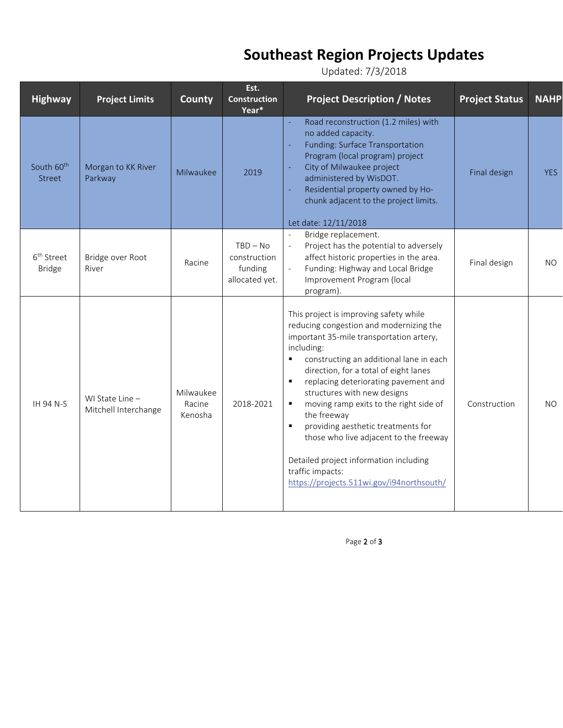# **Southeast Region Projects Updates**

Updated: 7/3/2018

| <b>Highway</b>                          | <b>Project Limits</b>                   | County                         | Est.<br><b>Construction</b><br>Year*                    | <b>Project Description / Notes</b>                                                                                                                                                                                                                                                                                                                                                                                                                                                                                                                                                | <b>Project Status</b> | <b>NAHP</b> |
|-----------------------------------------|-----------------------------------------|--------------------------------|---------------------------------------------------------|-----------------------------------------------------------------------------------------------------------------------------------------------------------------------------------------------------------------------------------------------------------------------------------------------------------------------------------------------------------------------------------------------------------------------------------------------------------------------------------------------------------------------------------------------------------------------------------|-----------------------|-------------|
| South 60 <sup>th</sup><br><b>Street</b> | Morgan to KK River<br>Parkway           | Milwaukee                      | 2019                                                    | Road reconstruction (1.2 miles) with<br>no added capacity.<br><b>Funding: Surface Transportation</b><br>Program (local program) project<br>City of Milwaukee project<br>administered by WisDOT.<br>Residential property owned by Ho-<br>chunk adjacent to the project limits.<br>Let date: 12/11/2018                                                                                                                                                                                                                                                                             | Final design          | <b>YES</b>  |
| 6 <sup>th</sup> Street<br><b>Bridge</b> | Bridge over Root<br>River               | Racine                         | $TBD - No$<br>construction<br>funding<br>allocated yet. | Bridge replacement.<br>Project has the potential to adversely<br>$\mathbb{L}$<br>affect historic properties in the area.<br>$\mathbb{L}^{\mathbb{N}}$<br>Funding: Highway and Local Bridge<br>Improvement Program (local<br>program).                                                                                                                                                                                                                                                                                                                                             | Final design          | NO.         |
| <b>IH 94 N-S</b>                        | WI State Line -<br>Mitchell Interchange | Milwaukee<br>Racine<br>Kenosha | 2018-2021                                               | This project is improving safety while<br>reducing congestion and modernizing the<br>important 35-mile transportation artery,<br>including:<br>constructing an additional lane in each<br>direction, for a total of eight lanes<br>replacing deteriorating pavement and<br>$\blacksquare$<br>structures with new designs<br>moving ramp exits to the right side of<br>٠<br>the freeway<br>providing aesthetic treatments for<br>those who live adjacent to the freeway<br>Detailed project information including<br>traffic impacts:<br>https://projects.511wi.gov/i94northsouth/ | Construction          | NO.         |

Page 2 of 3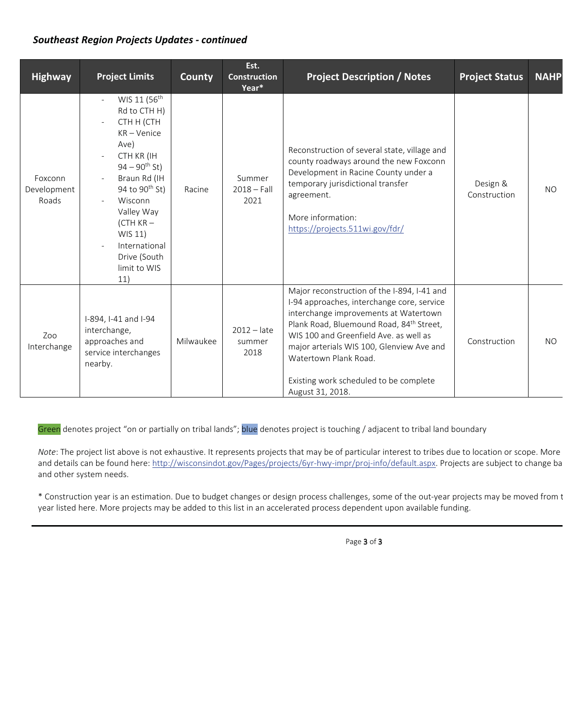## *Southeast Region Projects Updates - continued*

| <b>Highway</b>                  | <b>Project Limits</b>                                                                                                                                                                                                                                                                | <b>County</b> | Est.<br><b>Construction</b><br>Year* | <b>Project Description / Notes</b>                                                                                                                                                                                                                                                                                                                                       | <b>Project Status</b>    | <b>NAHP</b> |
|---------------------------------|--------------------------------------------------------------------------------------------------------------------------------------------------------------------------------------------------------------------------------------------------------------------------------------|---------------|--------------------------------------|--------------------------------------------------------------------------------------------------------------------------------------------------------------------------------------------------------------------------------------------------------------------------------------------------------------------------------------------------------------------------|--------------------------|-------------|
| Foxconn<br>Development<br>Roads | WIS 11 (56 <sup>th</sup><br>Rd to CTH H)<br>CTH H (CTH<br>$KR - Venice$<br>Ave)<br>CTH KR (IH<br>$94 - 90$ <sup>th</sup> St)<br>Braun Rd (IH<br>94 to 90 <sup>th</sup> St)<br>Wisconn<br>Valley Way<br>$(CH KR -$<br>WIS 11)<br>International<br>Drive (South<br>limit to WIS<br>11) | Racine        | Summer<br>$2018 - Fall$<br>2021      | Reconstruction of several state, village and<br>county roadways around the new Foxconn<br>Development in Racine County under a<br>temporary jurisdictional transfer<br>agreement.<br>More information:<br>https://projects.511wi.gov/fdr/                                                                                                                                | Design &<br>Construction | <b>NO</b>   |
| Zoo<br>Interchange              | I-894, I-41 and I-94<br>interchange,<br>approaches and<br>service interchanges<br>nearby.                                                                                                                                                                                            | Milwaukee     | $2012 -$ late<br>summer<br>2018      | Major reconstruction of the I-894, I-41 and<br>I-94 approaches, interchange core, service<br>interchange improvements at Watertown<br>Plank Road, Bluemound Road, 84 <sup>th</sup> Street,<br>WIS 100 and Greenfield Ave. as well as<br>major arterials WIS 100, Glenview Ave and<br>Watertown Plank Road.<br>Existing work scheduled to be complete<br>August 31, 2018. | Construction             | NO.         |

Green denotes project "on or partially on tribal lands"; blue denotes project is touching / adjacent to tribal land boundary

*Note*: The project list above is not exhaustive. It represents projects that may be of particular interest to tribes due to location or scope. More and details can be found here: http://wisconsindot.gov/Pages/projects/6yr-hwy-impr/proj-info/default.aspx. Projects are subject to change ba and other system needs.

\* Construction year is an estimation. Due to budget changes or design process challenges, some of the out-year projects may be moved from t year listed here. More projects may be added to this list in an accelerated process dependent upon available funding.

Page 3 of 3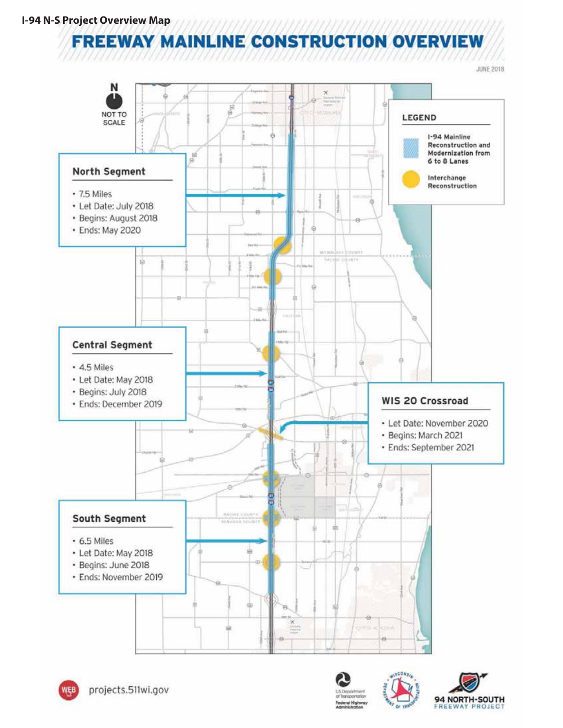**FREEWAY MAINLINE CONSTRUCTION OVERVIEW** 

**JUNE 2018** 







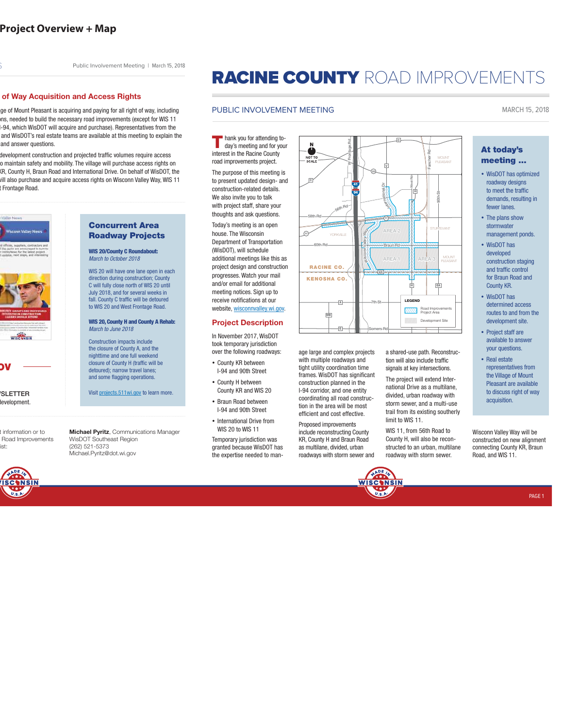Public Involvement Meeting | March 15, 2018

#### **of Way Acquisition and Access Rights**

ge of Mount Pleasant is acquiring and paying for all right of way, including ons, needed to build the necessary road improvements (except for WIS 11 I-94, which WisDOT will acquire and purchase). Representatives from the and WisDOT's real estate teams are available at this meeting to explain the and answer questions.

development construction and projected traffic volumes require access o maintain safety and mobility. The village will purchase access rights on KR, County H, Braun Road and International Drive. On behalf of WisDOT, the will also purchase and acquire access rights on Wisconn Valley Way, WIS 11 Frontage Road.



**OV**

development.

t information or to Road Improvements ist:



### **Concurrent Area Roadway Projects**

**WIS 20/County C Roundabout:**  March to October 2018

WIS 20 will have one lane open in each direction during construction; County C will fully close north of WIS 20 until July 2018, and for several weeks in fall. County C traffic will be detoured to WIS 20 and West Frontage Road.

#### **WIS 20, County H and County A Rehab:**  March to June 2018

Construction impacts include the closure of County A, and the nighttime and one full weekend closure of County H (traffic will be detoured); narrow travel lanes; and some flagging operations.

**Wisit projects.511wi.gov to learn more.** 

**Michael Pyritz**, Communications Manager WisDOT Southeast Region (262) 521-5373 Michael.Pyritz@dot.wi.gov

# RACINE COUNTY ROAD IMPROVEMENTS

**Wsi conn Valley Way**

60th Rd-**Communist Rd Braun Rd** 

**94 41**

**W Frontage Rd**

**YORKVILLE** 

**<sup>5</sup>6t<sup>h</sup> <sup>R</sup><sup>d</sup>**

**A**

.<br>Fri

 $\overline{A}$ 

**RACINE CO. KENOSHA CO.**

**MB**

**C**

NOT TC<br>SCALE

**58th Rd**

 $\sqrt{11}$ 

**AREA 1**

**KR**

**7th St**

**Somers Rd**

**AREA 2**

**11**

**nI et rnat oi nal Dr**

**V**

जि

**C**

**20**

### PUBLIC INVOLVEMENT MEETING MARCH 15, 2018

**T** hank you for attending today's meeting and for your interest in the Racine County road improvements project.

The purpose of this meeting is to present updated design- and construction-related details. We also invite you to talk with project staff, share your thoughts and ask questions.

Today's meeting is an open house. The Wisconsin Department of Transportation (WisDOT), will schedule additional meetings like this as project design and construction progresses. Watch your mail and/or email for additional meeting notices. Sign up to receive notifications at our website, wisconnvalley.wi.gov.

### **Project Description**

In November 2017, WisDOT took temporary jurisdiction over the following roadways:

- County KR between I-94 and 90th Street
- County H between County KR and WIS 20
- Braun Road between I-94 and 90th Street
- International Drive from WIS 20 to WIS 11

Temporary jurisdiction was granted because WisDOT has the expertise needed to manage large and complex projects with multiple roadways and tight utility coordination time frames. WisDOT has significant construction planned in the I-94 corridor, and one entity coordinating all road construction in the area will be most efficient and cost effective.

Proposed improvements include reconstructing County KR, County H and Braun Road as multilane, divided, urban roadways with storm sewer and



limit to WIS 11. WIS 11, from 56th Road to County H, will also be reconstructed to an urban, multilane **At today's meeting ...**

- WisDOT has optimized roadway designs to meet the traffic demands, resulting in fewer lanes.
- The plans show stormwater management ponds.
- WisDOT has developed construction staging and traffic control for Braun Road and County KR.
- WisDOT has determined access routes to and from the development site.
- Project staff are available to answer your questions.
- Real estate representatives from the Village of Mount Pleasant are available to discuss right of way acquisition.

constructed on new alignment connecting County KR, Braun Road, and WIS 11.

PAGE 1

signals at key intersections. The project will extend International Drive as a multilane, divided, urban roadway with storm sewer, and a multi-use

a shared-use path. Reconstruction will also include traffic

**AREA 3**

**H**

**LEGEND** 

**H**

**West Rd**

MOUNT PLEASANT

**EA**

Road Improvements Project Area Development Sit

MOUNT PLEASANT

**90th St**

**Fancher Rd**

trail from its existing southerly

Wisconn Valley Way will be